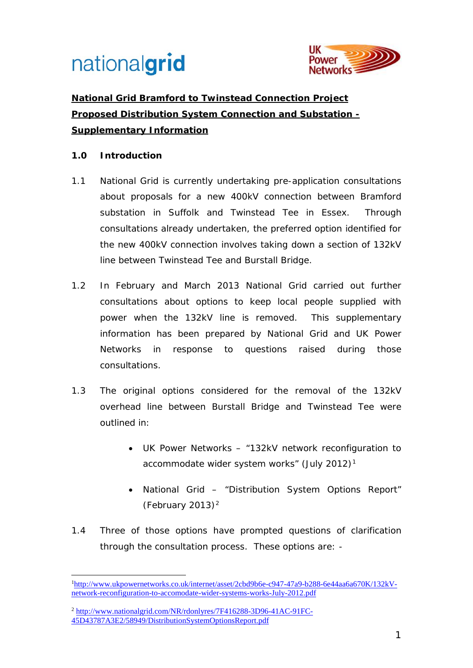

## **National Grid Bramford to Twinstead Connection Project Proposed Distribution System Connection and Substation - Supplementary Information**

### **1.0 Introduction**

- 1.1 National Grid is currently undertaking pre-application consultations about proposals for a new 400kV connection between Bramford substation in Suffolk and Twinstead Tee in Essex. Through consultations already undertaken, the preferred option identified for the new 400kV connection involves taking down a section of 132kV line between Twinstead Tee and Burstall Bridge.
- 1.2 In February and March 2013 National Grid carried out further consultations about options to keep local people supplied with power when the 132kV line is removed. This supplementary information has been prepared by National Grid and UK Power Networks in response to questions raised during those consultations.
- 1.3 The original options considered for the removal of the 132kV overhead line between Burstall Bridge and Twinstead Tee were outlined in:
	- UK Power Networks "132kV network reconfiguration to accommodate wider system works" (July 2012)[1](#page-0-0)
	- National Grid "Distribution System Options Report" (February [2](#page-0-1)013) $^2$
- 1.4 Three of those options have prompted questions of clarification through the consultation process. These options are: -

<span id="page-0-0"></span><sup>1</sup> [http://www.ukpowernetworks.co.uk/internet/asset/2cbd9b6e-c947-47a9-b288-6e44aa6a670K/132kV](http://www.ukpowernetworks.co.uk/internet/asset/2cbd9b6e-c947-47a9-b288-6e44aa6a670K/132kV-network-reconfiguration-to-accomodate-wider-systems-works-July-2012.pdf)[network-reconfiguration-to-accomodate-wider-systems-works-July-2012.pdf](http://www.ukpowernetworks.co.uk/internet/asset/2cbd9b6e-c947-47a9-b288-6e44aa6a670K/132kV-network-reconfiguration-to-accomodate-wider-systems-works-July-2012.pdf) -

<span id="page-0-1"></span><sup>2</sup> [http://www.nationalgrid.com/NR/rdonlyres/7F416288-3D96-41AC-91FC-](http://www.nationalgrid.com/NR/rdonlyres/7F416288-3D96-41AC-91FC-45D43787A3E2/58949/DistributionSystemOptionsReport.pdf)[45D43787A3E2/58949/DistributionSystemOptionsReport.pdf](http://www.nationalgrid.com/NR/rdonlyres/7F416288-3D96-41AC-91FC-45D43787A3E2/58949/DistributionSystemOptionsReport.pdf)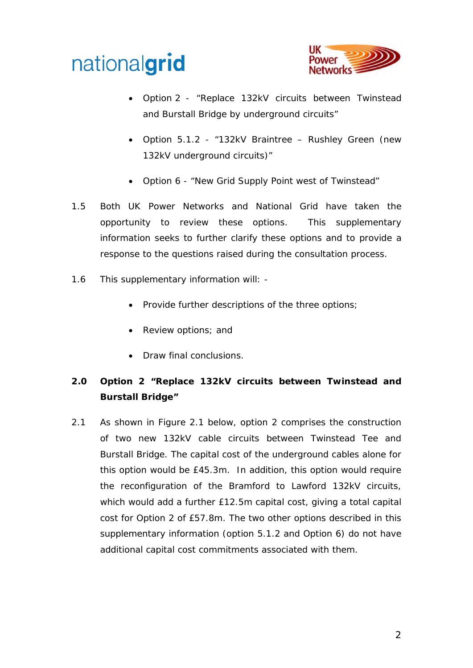



- Option 2 "Replace 132kV circuits between Twinstead and Burstall Bridge by underground circuits"
- Option 5.1.2 "132kV Braintree Rushley Green (new 132kV underground circuits)"
- Option 6 "New Grid Supply Point west of Twinstead"
- 1.5 Both UK Power Networks and National Grid have taken the opportunity to review these options. This supplementary information seeks to further clarify these options and to provide a response to the questions raised during the consultation process.
- 1.6 This supplementary information will:
	- Provide further descriptions of the three options;
	- Review options; and
	- Draw final conclusions.

### **2.0 Option 2 "Replace 132kV circuits between Twinstead and Burstall Bridge"**

2.1 As shown in Figure 2.1 below, option 2 comprises the construction of two new 132kV cable circuits between Twinstead Tee and Burstall Bridge. The capital cost of the underground cables alone for this option would be £45.3m. In addition, this option would require the reconfiguration of the Bramford to Lawford 132kV circuits, which would add a further £12.5m capital cost, giving a total capital cost for Option 2 of £57.8m. The two other options described in this supplementary information (option 5.1.2 and Option 6) do not have additional capital cost commitments associated with them.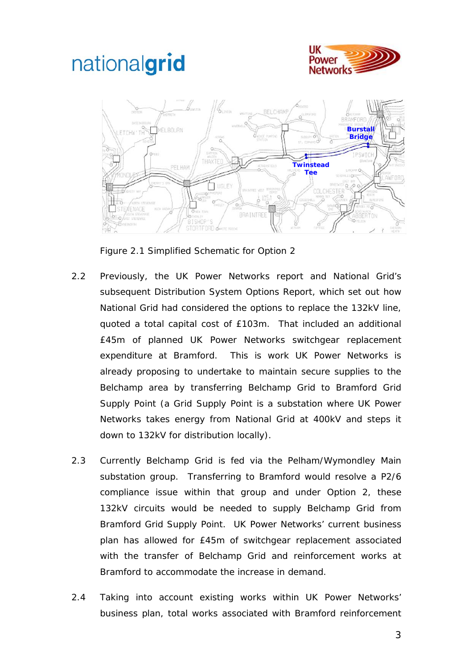



Figure 2.1 Simplified Schematic for Option 2

- 2.2 Previously, the UK Power Networks report and National Grid's subsequent Distribution System Options Report, which set out how National Grid had considered the options to replace the 132kV line, quoted a total capital cost of £103m. That included an additional £45m of planned UK Power Networks switchgear replacement expenditure at Bramford. This is work UK Power Networks is already proposing to undertake to maintain secure supplies to the Belchamp area by transferring Belchamp Grid to Bramford Grid Supply Point (a Grid Supply Point is a substation where UK Power Networks takes energy from National Grid at 400kV and steps it down to 132kV for distribution locally).
- 2.3 Currently Belchamp Grid is fed via the Pelham/Wymondley Main substation group. Transferring to Bramford would resolve a P2/6 compliance issue within that group and under Option 2, these 132kV circuits would be needed to supply Belchamp Grid from Bramford Grid Supply Point. UK Power Networks' current business plan has allowed for £45m of switchgear replacement associated with the transfer of Belchamp Grid and reinforcement works at Bramford to accommodate the increase in demand.
- 2.4 Taking into account existing works within UK Power Networks' business plan, total works associated with Bramford reinforcement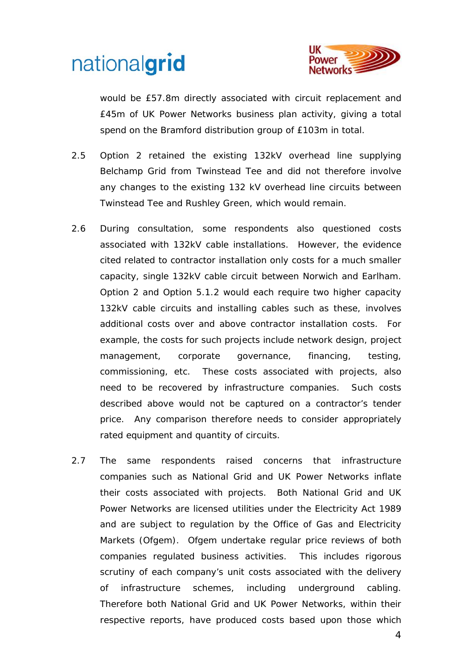

would be £57.8m directly associated with circuit replacement and £45m of UK Power Networks business plan activity, giving a total spend on the Bramford distribution group of £103m in total.

- 2.5 Option 2 retained the existing 132kV overhead line supplying Belchamp Grid from Twinstead Tee and did not therefore involve any changes to the existing 132 kV overhead line circuits between Twinstead Tee and Rushley Green, which would remain.
- 2.6 During consultation, some respondents also questioned costs associated with 132kV cable installations. However, the evidence cited related to contractor installation only costs for a much smaller capacity, single 132kV cable circuit between Norwich and Earlham. Option 2 and Option 5.1.2 would each require two higher capacity 132kV cable circuits and installing cables such as these, involves additional costs over and above contractor installation costs. For example, the costs for such projects include network design, project management, corporate governance, financing, testing, commissioning, etc. These costs associated with projects, also need to be recovered by infrastructure companies. Such costs described above would not be captured on a contractor's tender price. Any comparison therefore needs to consider appropriately rated equipment and quantity of circuits.
- 2.7 The same respondents raised concerns that infrastructure companies such as National Grid and UK Power Networks inflate their costs associated with projects. Both National Grid and UK Power Networks are licensed utilities under the Electricity Act 1989 and are subject to regulation by the Office of Gas and Electricity Markets (Ofgem). Ofgem undertake regular price reviews of both companies regulated business activities. This includes rigorous scrutiny of each company's unit costs associated with the delivery of infrastructure schemes, including underground cabling. Therefore both National Grid and UK Power Networks, within their respective reports, have produced costs based upon those which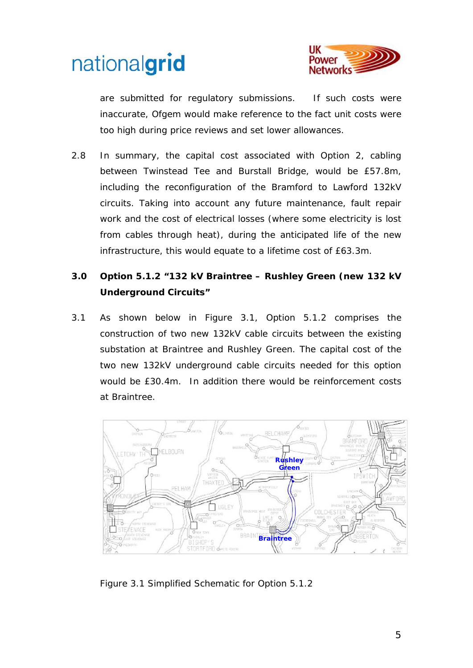



are submitted for regulatory submissions. If such costs were inaccurate, Ofgem would make reference to the fact unit costs were too high during price reviews and set lower allowances.

2.8 In summary, the capital cost associated with Option 2, cabling between Twinstead Tee and Burstall Bridge, would be £57.8m, including the reconfiguration of the Bramford to Lawford 132kV circuits. Taking into account any future maintenance, fault repair work and the cost of electrical losses (where some electricity is lost from cables through heat), during the anticipated life of the new infrastructure, this would equate to a lifetime cost of £63.3m.

### **3.0 Option 5.1.2 "132 kV Braintree – Rushley Green (new 132 kV Underground Circuits"**

3.1 As shown below in Figure 3.1, Option 5.1.2 comprises the construction of two new 132kV cable circuits between the existing substation at Braintree and Rushley Green. The capital cost of the two new 132kV underground cable circuits needed for this option would be £30.4m. In addition there would be reinforcement costs at Braintree.



*Figure 3.1 Simplified Schematic for Option 5.1.2*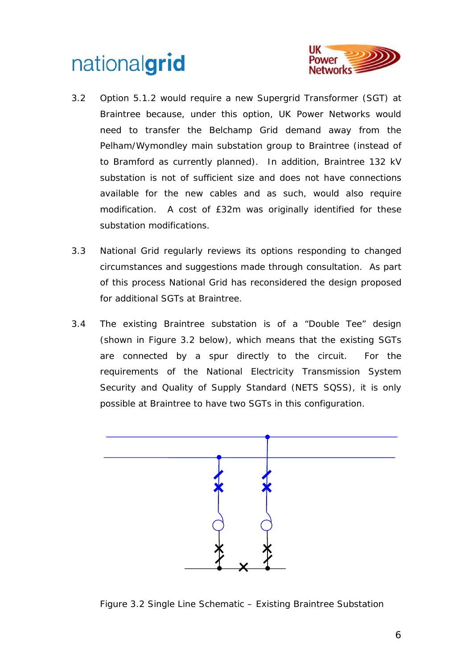

- 3.2 Option 5.1.2 would require a new Supergrid Transformer (SGT) at Braintree because, under this option, UK Power Networks would need to transfer the Belchamp Grid demand away from the Pelham/Wymondley main substation group to Braintree (instead of to Bramford as currently planned). In addition, Braintree 132 kV substation is not of sufficient size and does not have connections available for the new cables and as such, would also require modification. A cost of £32m was originally identified for these substation modifications.
- 3.3 National Grid regularly reviews its options responding to changed circumstances and suggestions made through consultation. As part of this process National Grid has reconsidered the design proposed for additional SGTs at Braintree.
- 3.4 The existing Braintree substation is of a "Double Tee" design (shown in Figure 3.2 below), which means that the existing SGTs are connected by a spur directly to the circuit. For the requirements of the National Electricity Transmission System Security and Quality of Supply Standard (NETS SQSS), it is only possible at Braintree to have two SGTs in this configuration.



Figure 3.2 Single Line Schematic – Existing Braintree Substation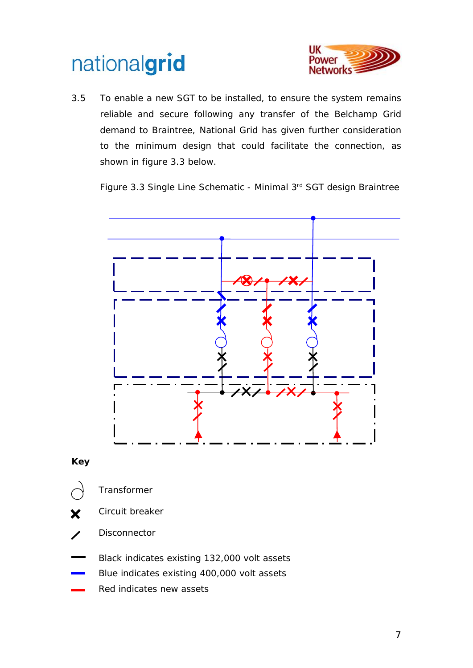

3.5 To enable a new SGT to be installed, to ensure the system remains reliable and secure following any transfer of the Belchamp Grid demand to Braintree, National Grid has given further consideration to the minimum design that could facilitate the connection, as shown in figure 3.3 below.







- 
- Transformer
- Circuit breaker X
- Disconnector
- Black indicates existing 132,000 volt assets
- Blue indicates existing 400,000 volt assets
- Red indicates new assets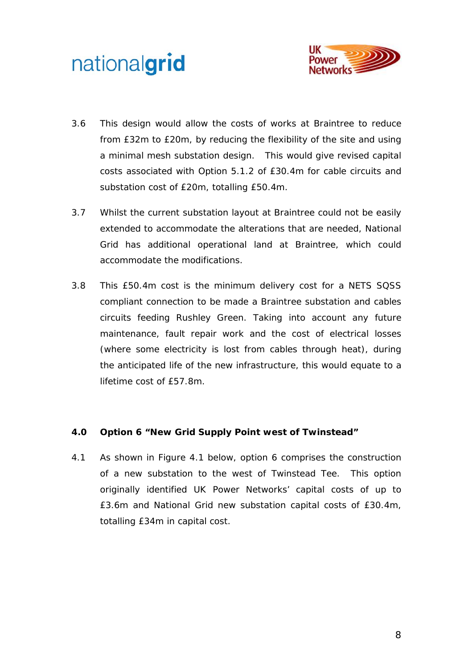

- 3.6 This design would allow the costs of works at Braintree to reduce from £32m to £20m, by reducing the flexibility of the site and using a minimal mesh substation design. This would give revised capital costs associated with Option 5.1.2 of £30.4m for cable circuits and substation cost of £20m, totalling £50.4m.
- 3.7 Whilst the current substation layout at Braintree could not be easily extended to accommodate the alterations that are needed, National Grid has additional operational land at Braintree, which could accommodate the modifications.
- 3.8 This £50.4m cost is the minimum delivery cost for a NETS SQSS compliant connection to be made a Braintree substation and cables circuits feeding Rushley Green. Taking into account any future maintenance, fault repair work and the cost of electrical losses (where some electricity is lost from cables through heat), during the anticipated life of the new infrastructure, this would equate to a lifetime cost of £57.8m.

#### **4.0 Option 6 "New Grid Supply Point west of Twinstead"**

4.1 As shown in Figure 4.1 below, option 6 comprises the construction of a new substation to the west of Twinstead Tee. This option originally identified UK Power Networks' capital costs of up to £3.6m and National Grid new substation capital costs of £30.4m, totalling £34m in capital cost.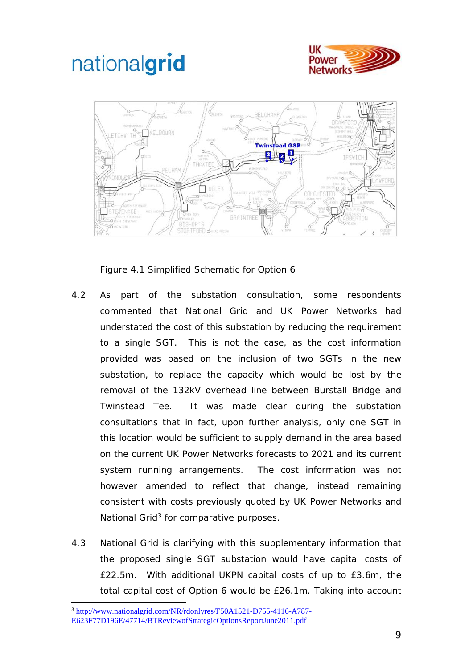



*Figure 4.1 Simplified Schematic for Option 6*

- 4.2 As part of the substation consultation, some respondents commented that National Grid and UK Power Networks had understated the cost of this substation by reducing the requirement to a single SGT. This is not the case, as the cost information provided was based on the inclusion of two SGTs in the new substation, to replace the capacity which would be lost by the removal of the 132kV overhead line between Burstall Bridge and Twinstead Tee. It was made clear during the substation consultations that in fact, upon further analysis, only one SGT in this location would be sufficient to supply demand in the area based on the current UK Power Networks forecasts to 2021 and its current system running arrangements. The cost information was not however amended to reflect that change, instead remaining consistent with costs previously quoted by UK Power Networks and National Grid<sup>[3](#page-8-0)</sup> for comparative purposes.
- 4.3 National Grid is clarifying with this supplementary information that the proposed single SGT substation would have capital costs of £22.5m. With additional UKPN capital costs of up to £3.6m, the total capital cost of Option 6 would be £26.1m. Taking into account

<span id="page-8-0"></span><sup>3</sup> [http://www.nationalgrid.com/NR/rdonlyres/F50A1521-D755-4116-A787-](http://www.nationalgrid.com/NR/rdonlyres/F50A1521-D755-4116-A787-E623F77D196E/47714/BTReviewofStrategicOptionsReportJune2011.pdf) [E623F77D196E/47714/BTReviewofStrategicOptionsReportJune2011.pdf](http://www.nationalgrid.com/NR/rdonlyres/F50A1521-D755-4116-A787-E623F77D196E/47714/BTReviewofStrategicOptionsReportJune2011.pdf) -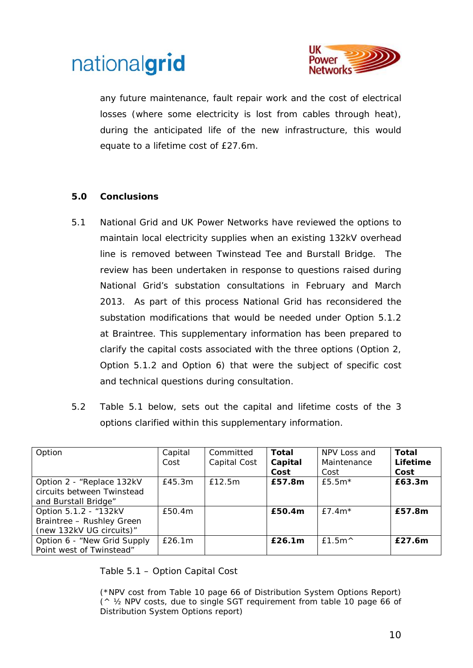

any future maintenance, fault repair work and the cost of electrical losses (where some electricity is lost from cables through heat), during the anticipated life of the new infrastructure, this would equate to a lifetime cost of £27.6m.

#### **5.0 Conclusions**

- 5.1 National Grid and UK Power Networks have reviewed the options to maintain local electricity supplies when an existing 132kV overhead line is removed between Twinstead Tee and Burstall Bridge. The review has been undertaken in response to questions raised during National Grid's substation consultations in February and March 2013. As part of this process National Grid has reconsidered the substation modifications that would be needed under Option 5.1.2 at Braintree. This supplementary information has been prepared to clarify the capital costs associated with the three options (Option 2, Option 5.1.2 and Option 6) that were the subject of specific cost and technical questions during consultation.
- 5.2 Table 5.1 below, sets out the capital and lifetime costs of the 3 options clarified within this supplementary information.

| Option                      | Capital | Committed    | Total   | NPV Loss and     | Total    |
|-----------------------------|---------|--------------|---------|------------------|----------|
|                             | Cost    | Capital Cost | Capital | Maintenance      | Lifetime |
|                             |         |              | Cost    | Cost             | Cost     |
| Option 2 - "Replace 132kV   | E45.3m  | £12.5m       | £57.8m  | $f5.5m*$         | £63.3m   |
| circuits between Twinstead  |         |              |         |                  |          |
| and Burstall Bridge"        |         |              |         |                  |          |
| Option 5.1.2 - "132kV       | £50.4m  |              | £50.4m  | £7.4 $m^*$       | £57.8m   |
| Braintree - Rushley Green   |         |              |         |                  |          |
| (new 132kV UG circuits)"    |         |              |         |                  |          |
| Option 6 - "New Grid Supply | E26.1m  |              | £26.1m  | $f1.5m^{\wedge}$ | £27.6m   |
| Point west of Twinstead"    |         |              |         |                  |          |

Table 5.1 – Option Capital Cost

(\*NPV cost from Table 10 page 66 of Distribution System Options Report)  $($   $\land$   $\frac{1}{2}$  NPV costs, due to single SGT requirement from table 10 page 66 of Distribution System Options report)